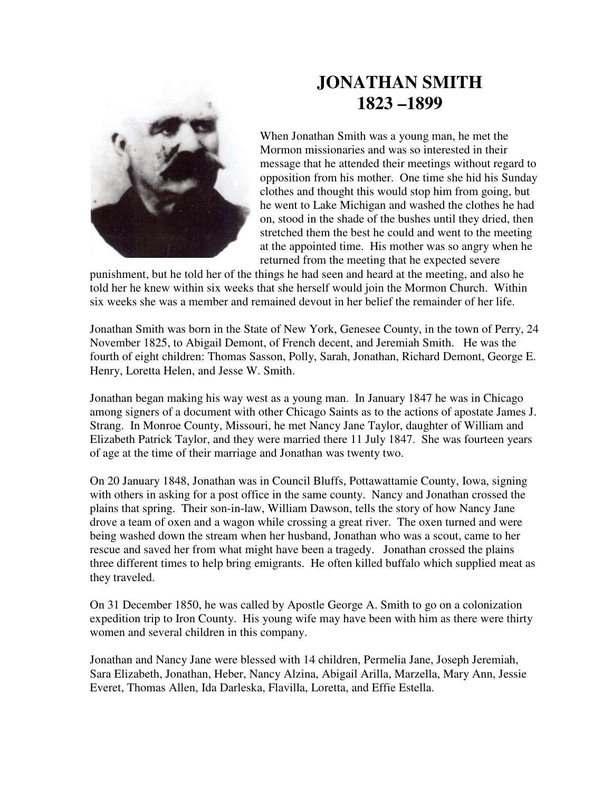

## **JONATHAN SMITH 1823 –1899**

When Jonathan Smith was a young man, he met the Mormon missionaries and was so interested in their message that he attended their meetings without regard to opposition from his mother. One time she hid his Sunday clothes and thought this would stop him from going, but he went to Lake Michigan and washed the clothes he had on, stood in the shade of the bushes until they dried, then stretched them the best he could and went to the meeting at the appointed time. His mother was so angry when he returned from the meeting that he expected severe

punishment, but he told her of the things he had seen and heard at the meeting, and also he told her he knew within six weeks that she herself would join the Mormon Church. Within six weeks she was a member and remained devout in her belief the remainder of her life.

Jonathan Smith was born in the State of New York, Genesee County, in the town of Perry, 24 November 1825, to Abigail Demont, of French decent, and Jeremiah Smith. He was the fourth of eight children: Thomas Sasson, Polly, Sarah, Jonathan, Richard Demont, George E. Henry, Loretta Helen, and Jesse W. Smith.

Jonathan began making his way west as a young man. In January 1847 he was in Chicago among signers of a document with other Chicago Saints as to the actions of apostate James J. Strang. In Monroe County, Missouri, he met Nancy Jane Taylor, daughter of William and Elizabeth Patrick Taylor, and they were married there 11 July 1847. She was fourteen years of age at the time of their marriage and Jonathan was twenty two.

On 20 January 1848, Jonathan was in Council Bluffs, Pottawattamie County, Iowa, signing with others in asking for a post office in the same county. Nancy and Jonathan crossed the plains that spring. Their son-in-law, William Dawson, tells the story of how Nancy Jane drove a team of oxen and a wagon while crossing a great river. The oxen turned and were being washed down the stream when her husband, Jonathan who was a scout, came to her rescue and saved her from what might have been a tragedy. Jonathan crossed the plains three different times to help bring emigrants. He often killed buffalo which supplied meat as they traveled.

On 31 December 1850, he was called by Apostle George A. Smith to go on a colonization expedition trip to Iron County. His young wife may have been with him as there were thirty women and several children in this company.

Jonathan and Nancy Jane were blessed with 14 children, Permelia Jane, Joseph Jeremiah, Sara Elizabeth, Jonathan, Heber, Nancy Alzina, Abigail Arilla, Marzella, Mary Ann, Jessie Everet, Thomas Allen, Ida Darleska, Flavilla, Loretta, and Effie Estella.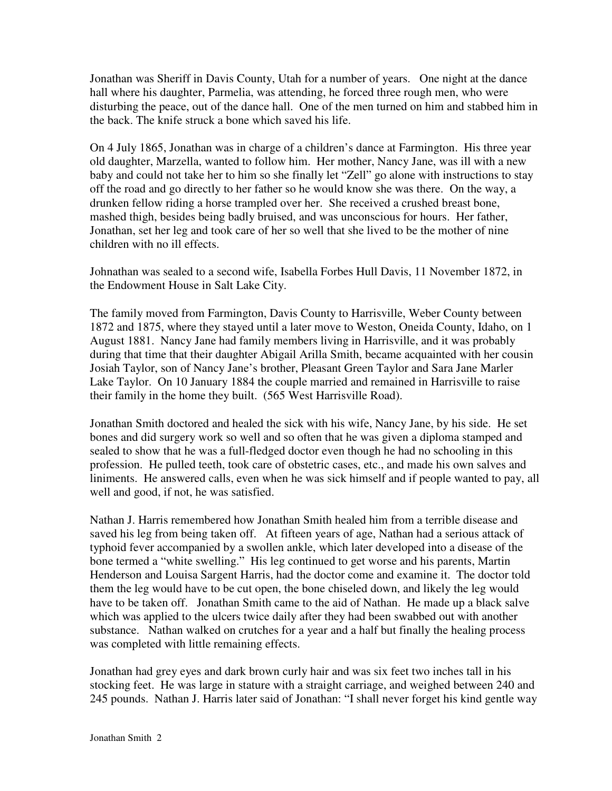Jonathan was Sheriff in Davis County, Utah for a number of years. One night at the dance hall where his daughter, Parmelia, was attending, he forced three rough men, who were disturbing the peace, out of the dance hall. One of the men turned on him and stabbed him in the back. The knife struck a bone which saved his life.

On 4 July 1865, Jonathan was in charge of a children's dance at Farmington. His three year old daughter, Marzella, wanted to follow him. Her mother, Nancy Jane, was ill with a new baby and could not take her to him so she finally let "Zell" go alone with instructions to stay off the road and go directly to her father so he would know she was there. On the way, a drunken fellow riding a horse trampled over her. She received a crushed breast bone, mashed thigh, besides being badly bruised, and was unconscious for hours. Her father, Jonathan, set her leg and took care of her so well that she lived to be the mother of nine children with no ill effects.

Johnathan was sealed to a second wife, Isabella Forbes Hull Davis, 11 November 1872, in the Endowment House in Salt Lake City.

The family moved from Farmington, Davis County to Harrisville, Weber County between 1872 and 1875, where they stayed until a later move to Weston, Oneida County, Idaho, on 1 August 1881. Nancy Jane had family members living in Harrisville, and it was probably during that time that their daughter Abigail Arilla Smith, became acquainted with her cousin Josiah Taylor, son of Nancy Jane's brother, Pleasant Green Taylor and Sara Jane Marler Lake Taylor. On 10 January 1884 the couple married and remained in Harrisville to raise their family in the home they built. (565 West Harrisville Road).

Jonathan Smith doctored and healed the sick with his wife, Nancy Jane, by his side. He set bones and did surgery work so well and so often that he was given a diploma stamped and sealed to show that he was a full-fledged doctor even though he had no schooling in this profession. He pulled teeth, took care of obstetric cases, etc., and made his own salves and liniments. He answered calls, even when he was sick himself and if people wanted to pay, all well and good, if not, he was satisfied.

Nathan J. Harris remembered how Jonathan Smith healed him from a terrible disease and saved his leg from being taken off. At fifteen years of age, Nathan had a serious attack of typhoid fever accompanied by a swollen ankle, which later developed into a disease of the bone termed a "white swelling." His leg continued to get worse and his parents, Martin Henderson and Louisa Sargent Harris, had the doctor come and examine it. The doctor told them the leg would have to be cut open, the bone chiseled down, and likely the leg would have to be taken off. Jonathan Smith came to the aid of Nathan. He made up a black salve which was applied to the ulcers twice daily after they had been swabbed out with another substance. Nathan walked on crutches for a year and a half but finally the healing process was completed with little remaining effects.

Jonathan had grey eyes and dark brown curly hair and was six feet two inches tall in his stocking feet. He was large in stature with a straight carriage, and weighed between 240 and 245 pounds. Nathan J. Harris later said of Jonathan: "I shall never forget his kind gentle way